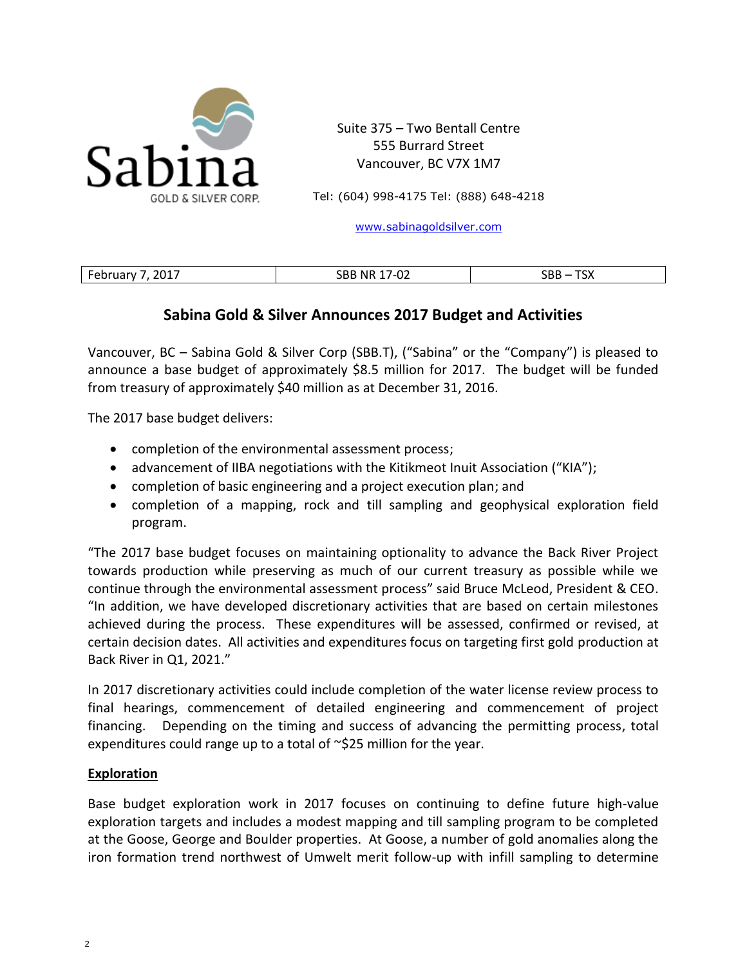

Suite 375 – Two Bentall Centre 555 Burrard Street Vancouver, BC V7X 1M7

Tel: (604) 998-4175 Tel: (888) 648-4218

[www.sabinagoldsilver.com](http://www.sabinagoldsilver.com/)

| $201^-$<br><b>CDI UUI</b><br>______ | $\sim$<br>NF<br>:RF<br>--<br>____ | $-$<br>$\sim$ $\sim$ $\sim$<br>^ יע<br>יוטע<br>_____ |
|-------------------------------------|-----------------------------------|------------------------------------------------------|
|                                     |                                   |                                                      |

## **Sabina Gold & Silver Announces 2017 Budget and Activities**

Vancouver, BC – Sabina Gold & Silver Corp (SBB.T), ("Sabina" or the "Company") is pleased to announce a base budget of approximately \$8.5 million for 2017. The budget will be funded from treasury of approximately \$40 million as at December 31, 2016.

The 2017 base budget delivers:

- completion of the environmental assessment process;
- advancement of IIBA negotiations with the Kitikmeot Inuit Association ("KIA");
- completion of basic engineering and a project execution plan; and
- completion of a mapping, rock and till sampling and geophysical exploration field program.

"The 2017 base budget focuses on maintaining optionality to advance the Back River Project towards production while preserving as much of our current treasury as possible while we continue through the environmental assessment process" said Bruce McLeod, President & CEO. "In addition, we have developed discretionary activities that are based on certain milestones achieved during the process. These expenditures will be assessed, confirmed or revised, at certain decision dates. All activities and expenditures focus on targeting first gold production at Back River in Q1, 2021."

In 2017 discretionary activities could include completion of the water license review process to final hearings, commencement of detailed engineering and commencement of project financing. Depending on the timing and success of advancing the permitting process, total expenditures could range up to a total of ~\$25 million for the year.

## **Exploration**

Base budget exploration work in 2017 focuses on continuing to define future high-value exploration targets and includes a modest mapping and till sampling program to be completed at the Goose, George and Boulder properties. At Goose, a number of gold anomalies along the iron formation trend northwest of Umwelt merit follow-up with infill sampling to determine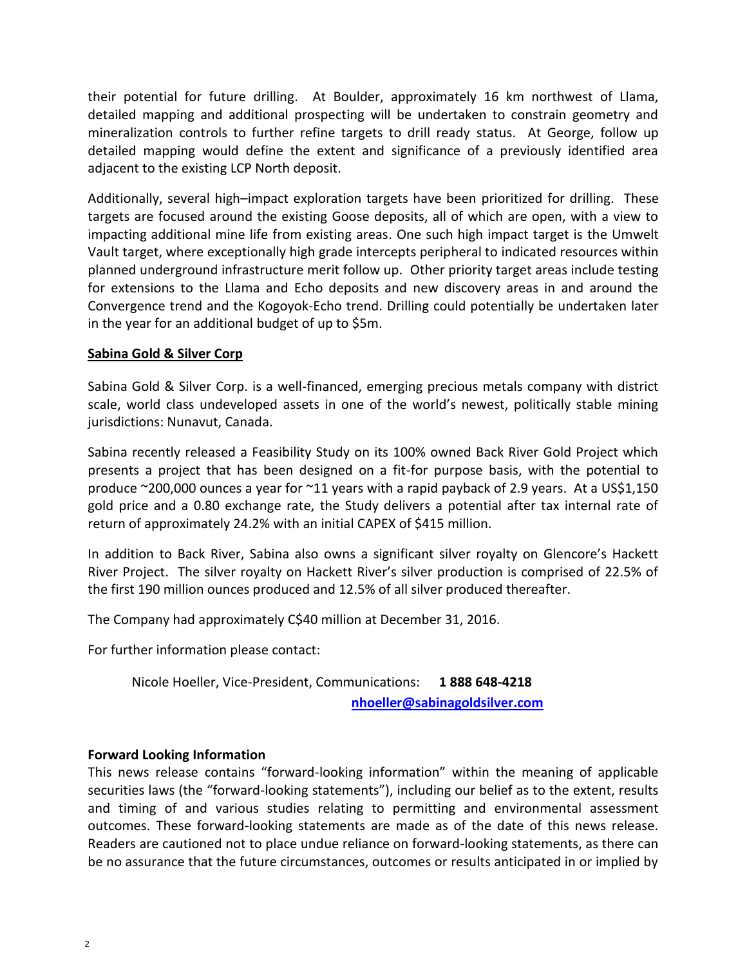their potential for future drilling. At Boulder, approximately 16 km northwest of Llama, detailed mapping and additional prospecting will be undertaken to constrain geometry and mineralization controls to further refine targets to drill ready status. At George, follow up detailed mapping would define the extent and significance of a previously identified area adjacent to the existing LCP North deposit.

Additionally, several high–impact exploration targets have been prioritized for drilling. These targets are focused around the existing Goose deposits, all of which are open, with a view to impacting additional mine life from existing areas. One such high impact target is the Umwelt Vault target, where exceptionally high grade intercepts peripheral to indicated resources within planned underground infrastructure merit follow up. Other priority target areas include testing for extensions to the Llama and Echo deposits and new discovery areas in and around the Convergence trend and the Kogoyok-Echo trend. Drilling could potentially be undertaken later in the year for an additional budget of up to \$5m.

## **Sabina Gold & Silver Corp**

Sabina Gold & Silver Corp. is a well-financed, emerging precious metals company with district scale, world class undeveloped assets in one of the world's newest, politically stable mining jurisdictions: Nunavut, Canada.

Sabina recently released a Feasibility Study on its 100% owned Back River Gold Project which presents a project that has been designed on a fit-for purpose basis, with the potential to produce ~200,000 ounces a year for ~11 years with a rapid payback of 2.9 years. At a US\$1,150 gold price and a 0.80 exchange rate, the Study delivers a potential after tax internal rate of return of approximately 24.2% with an initial CAPEX of \$415 million.

In addition to Back River, Sabina also owns a significant silver royalty on Glencore's Hackett River Project. The silver royalty on Hackett River's silver production is comprised of 22.5% of the first 190 million ounces produced and 12.5% of all silver produced thereafter.

The Company had approximately C\$40 million at December 31, 2016.

For further information please contact:

Nicole Hoeller, Vice-President, Communications: **1 888 648-4218** 

**[nhoeller@sabinagoldsilver.com](mailto:nhoeller@sabinagoldsilver.com)**

## **Forward Looking Information**

This news release contains "forward-looking information" within the meaning of applicable securities laws (the "forward-looking statements"), including our belief as to the extent, results and timing of and various studies relating to permitting and environmental assessment outcomes. These forward-looking statements are made as of the date of this news release. Readers are cautioned not to place undue reliance on forward-looking statements, as there can be no assurance that the future circumstances, outcomes or results anticipated in or implied by